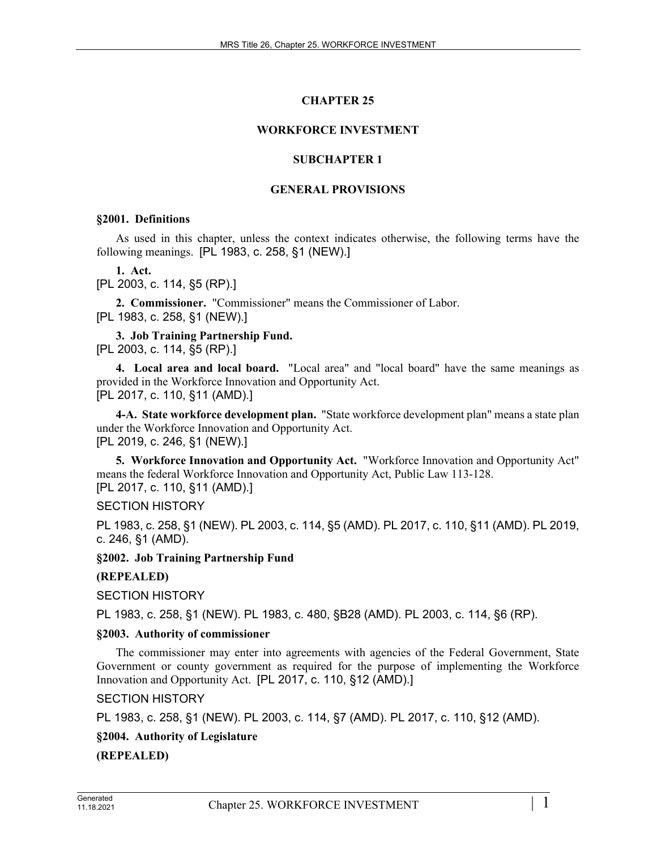# **CHAPTER 25**

## **WORKFORCE INVESTMENT**

## **SUBCHAPTER 1**

#### **GENERAL PROVISIONS**

#### **§2001. Definitions**

As used in this chapter, unless the context indicates otherwise, the following terms have the following meanings. [PL 1983, c. 258, §1 (NEW).]

**1. Act.** 

[PL 2003, c. 114, §5 (RP).]

**2. Commissioner.** "Commissioner" means the Commissioner of Labor. [PL 1983, c. 258, §1 (NEW).]

**3. Job Training Partnership Fund.**  [PL 2003, c. 114, §5 (RP).]

**4. Local area and local board.** "Local area" and "local board" have the same meanings as provided in the Workforce Innovation and Opportunity Act. [PL 2017, c. 110, §11 (AMD).]

**4-A. State workforce development plan.** "State workforce development plan" means a state plan under the Workforce Innovation and Opportunity Act. [PL 2019, c. 246, §1 (NEW).]

**5. Workforce Innovation and Opportunity Act.** "Workforce Innovation and Opportunity Act" means the federal Workforce Innovation and Opportunity Act, Public Law 113-128. [PL 2017, c. 110, §11 (AMD).]

SECTION HISTORY

PL 1983, c. 258, §1 (NEW). PL 2003, c. 114, §5 (AMD). PL 2017, c. 110, §11 (AMD). PL 2019, c. 246, §1 (AMD).

**§2002. Job Training Partnership Fund**

# **(REPEALED)**

SECTION HISTORY

PL 1983, c. 258, §1 (NEW). PL 1983, c. 480, §B28 (AMD). PL 2003, c. 114, §6 (RP).

#### **§2003. Authority of commissioner**

The commissioner may enter into agreements with agencies of the Federal Government, State Government or county government as required for the purpose of implementing the Workforce Innovation and Opportunity Act. [PL 2017, c. 110, §12 (AMD).]

SECTION HISTORY

PL 1983, c. 258, §1 (NEW). PL 2003, c. 114, §7 (AMD). PL 2017, c. 110, §12 (AMD).

# **§2004. Authority of Legislature**

**(REPEALED)**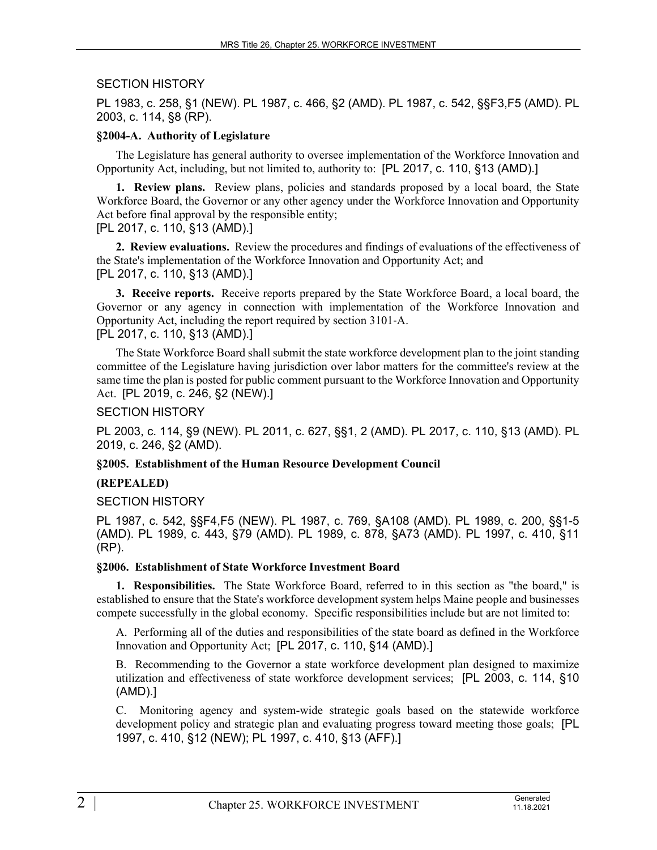## SECTION HISTORY

PL 1983, c. 258, §1 (NEW). PL 1987, c. 466, §2 (AMD). PL 1987, c. 542, §§F3,F5 (AMD). PL 2003, c. 114, §8 (RP).

## **§2004-A. Authority of Legislature**

The Legislature has general authority to oversee implementation of the Workforce Innovation and Opportunity Act, including, but not limited to, authority to: [PL 2017, c. 110, §13 (AMD).]

**1. Review plans.** Review plans, policies and standards proposed by a local board, the State Workforce Board, the Governor or any other agency under the Workforce Innovation and Opportunity Act before final approval by the responsible entity;

[PL 2017, c. 110, §13 (AMD).]

**2. Review evaluations.** Review the procedures and findings of evaluations of the effectiveness of the State's implementation of the Workforce Innovation and Opportunity Act; and [PL 2017, c. 110, §13 (AMD).]

**3. Receive reports.** Receive reports prepared by the State Workforce Board, a local board, the Governor or any agency in connection with implementation of the Workforce Innovation and Opportunity Act, including the report required by section 3101‑A.

[PL 2017, c. 110, §13 (AMD).]

The State Workforce Board shall submit the state workforce development plan to the joint standing committee of the Legislature having jurisdiction over labor matters for the committee's review at the same time the plan is posted for public comment pursuant to the Workforce Innovation and Opportunity Act. [PL 2019, c. 246, §2 (NEW).]

## SECTION HISTORY

PL 2003, c. 114, §9 (NEW). PL 2011, c. 627, §§1, 2 (AMD). PL 2017, c. 110, §13 (AMD). PL 2019, c. 246, §2 (AMD).

# **§2005. Establishment of the Human Resource Development Council**

#### **(REPEALED)**

SECTION HISTORY

PL 1987, c. 542, §§F4,F5 (NEW). PL 1987, c. 769, §A108 (AMD). PL 1989, c. 200, §§1-5 (AMD). PL 1989, c. 443, §79 (AMD). PL 1989, c. 878, §A73 (AMD). PL 1997, c. 410, §11 (RP).

#### **§2006. Establishment of State Workforce Investment Board**

**1. Responsibilities.** The State Workforce Board, referred to in this section as "the board," is established to ensure that the State's workforce development system helps Maine people and businesses compete successfully in the global economy. Specific responsibilities include but are not limited to:

A. Performing all of the duties and responsibilities of the state board as defined in the Workforce Innovation and Opportunity Act; [PL 2017, c. 110, §14 (AMD).]

B. Recommending to the Governor a state workforce development plan designed to maximize utilization and effectiveness of state workforce development services; [PL 2003, c. 114, §10 (AMD).]

C. Monitoring agency and system-wide strategic goals based on the statewide workforce development policy and strategic plan and evaluating progress toward meeting those goals; [PL 1997, c. 410, §12 (NEW); PL 1997, c. 410, §13 (AFF).]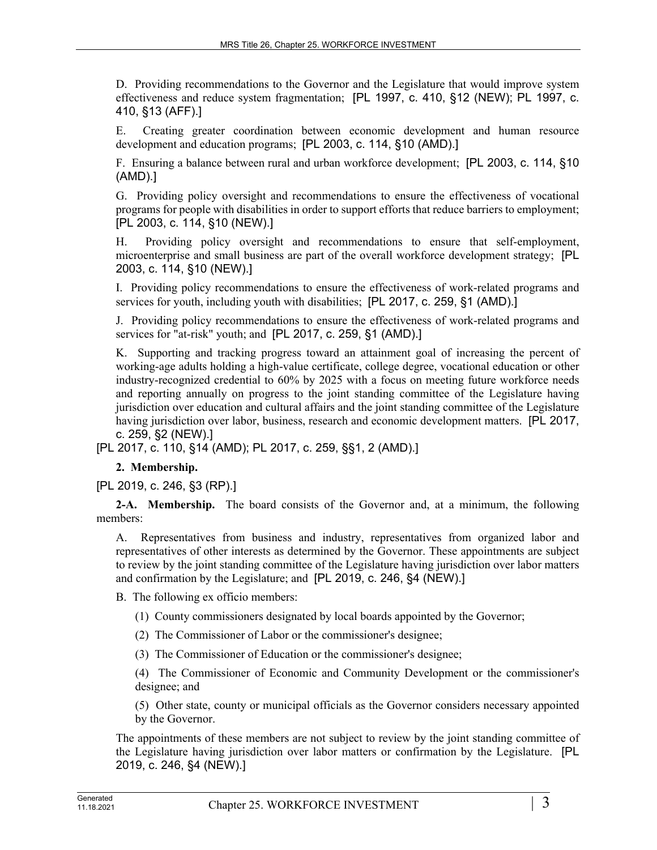D. Providing recommendations to the Governor and the Legislature that would improve system effectiveness and reduce system fragmentation; [PL 1997, c. 410, §12 (NEW); PL 1997, c. 410, §13 (AFF).]

E. Creating greater coordination between economic development and human resource development and education programs; [PL 2003, c. 114, §10 (AMD).]

F. Ensuring a balance between rural and urban workforce development; [PL 2003, c. 114, §10 (AMD).]

G. Providing policy oversight and recommendations to ensure the effectiveness of vocational programs for people with disabilities in order to support efforts that reduce barriers to employment; [PL 2003, c. 114, §10 (NEW).]

H. Providing policy oversight and recommendations to ensure that self-employment, microenterprise and small business are part of the overall workforce development strategy; [PL 2003, c. 114, §10 (NEW).]

I. Providing policy recommendations to ensure the effectiveness of work-related programs and services for youth, including youth with disabilities; [PL 2017, c. 259, §1 (AMD).]

J. Providing policy recommendations to ensure the effectiveness of work-related programs and services for "at-risk" youth; and [PL 2017, c. 259, §1 (AMD).]

K. Supporting and tracking progress toward an attainment goal of increasing the percent of working-age adults holding a high-value certificate, college degree, vocational education or other industry-recognized credential to 60% by 2025 with a focus on meeting future workforce needs and reporting annually on progress to the joint standing committee of the Legislature having jurisdiction over education and cultural affairs and the joint standing committee of the Legislature having jurisdiction over labor, business, research and economic development matters. [PL 2017, c. 259, §2 (NEW).]

[PL 2017, c. 110, §14 (AMD); PL 2017, c. 259, §§1, 2 (AMD).]

# **2. Membership.**

[PL 2019, c. 246, §3 (RP).]

**2-A. Membership.** The board consists of the Governor and, at a minimum, the following members:

A. Representatives from business and industry, representatives from organized labor and representatives of other interests as determined by the Governor. These appointments are subject to review by the joint standing committee of the Legislature having jurisdiction over labor matters and confirmation by the Legislature; and [PL 2019, c. 246, §4 (NEW).]

B. The following ex officio members:

(1) County commissioners designated by local boards appointed by the Governor;

- (2) The Commissioner of Labor or the commissioner's designee;
- (3) The Commissioner of Education or the commissioner's designee;

(4) The Commissioner of Economic and Community Development or the commissioner's designee; and

(5) Other state, county or municipal officials as the Governor considers necessary appointed by the Governor.

The appointments of these members are not subject to review by the joint standing committee of the Legislature having jurisdiction over labor matters or confirmation by the Legislature. [PL 2019, c. 246, §4 (NEW).]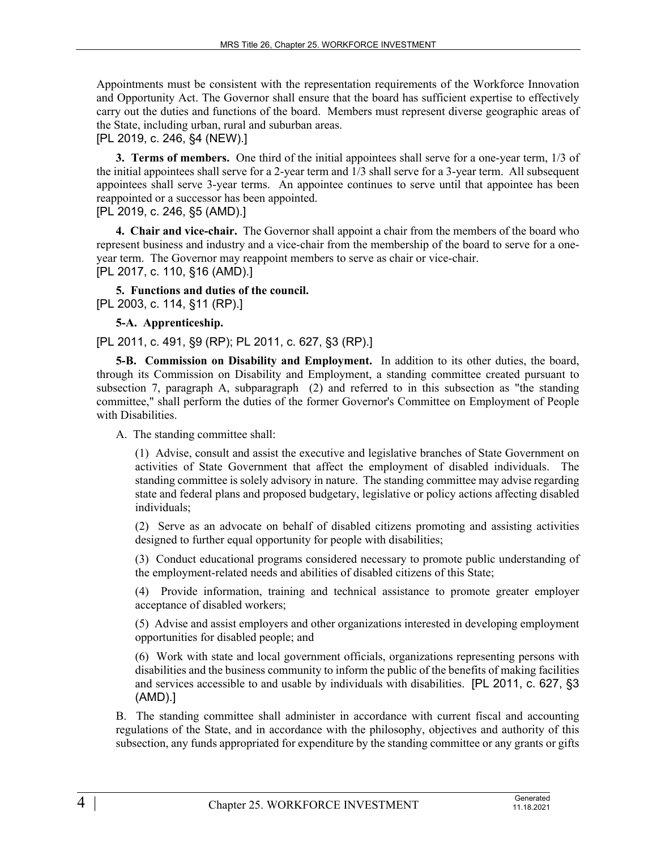Appointments must be consistent with the representation requirements of the Workforce Innovation and Opportunity Act. The Governor shall ensure that the board has sufficient expertise to effectively carry out the duties and functions of the board. Members must represent diverse geographic areas of the State, including urban, rural and suburban areas.

## [PL 2019, c. 246, §4 (NEW).]

**3. Terms of members.** One third of the initial appointees shall serve for a one-year term, 1/3 of the initial appointees shall serve for a 2-year term and 1/3 shall serve for a 3-year term. All subsequent appointees shall serve 3-year terms. An appointee continues to serve until that appointee has been reappointed or a successor has been appointed.

[PL 2019, c. 246, §5 (AMD).]

**4. Chair and vice-chair.** The Governor shall appoint a chair from the members of the board who represent business and industry and a vice-chair from the membership of the board to serve for a oneyear term. The Governor may reappoint members to serve as chair or vice-chair. [PL 2017, c. 110, §16 (AMD).]

**5. Functions and duties of the council.** 

[PL 2003, c. 114, §11 (RP).]

**5-A. Apprenticeship.** 

[PL 2011, c. 491, §9 (RP); PL 2011, c. 627, §3 (RP).]

**5-B. Commission on Disability and Employment.** In addition to its other duties, the board, through its Commission on Disability and Employment, a standing committee created pursuant to subsection 7, paragraph A, subparagraph (2) and referred to in this subsection as "the standing committee," shall perform the duties of the former Governor's Committee on Employment of People with Disabilities.

A. The standing committee shall:

(1) Advise, consult and assist the executive and legislative branches of State Government on activities of State Government that affect the employment of disabled individuals. The standing committee is solely advisory in nature. The standing committee may advise regarding state and federal plans and proposed budgetary, legislative or policy actions affecting disabled individuals;

(2) Serve as an advocate on behalf of disabled citizens promoting and assisting activities designed to further equal opportunity for people with disabilities;

(3) Conduct educational programs considered necessary to promote public understanding of the employment-related needs and abilities of disabled citizens of this State;

(4) Provide information, training and technical assistance to promote greater employer acceptance of disabled workers;

(5) Advise and assist employers and other organizations interested in developing employment opportunities for disabled people; and

(6) Work with state and local government officials, organizations representing persons with disabilities and the business community to inform the public of the benefits of making facilities and services accessible to and usable by individuals with disabilities. [PL 2011, c. 627, §3 (AMD).]

B. The standing committee shall administer in accordance with current fiscal and accounting regulations of the State, and in accordance with the philosophy, objectives and authority of this subsection, any funds appropriated for expenditure by the standing committee or any grants or gifts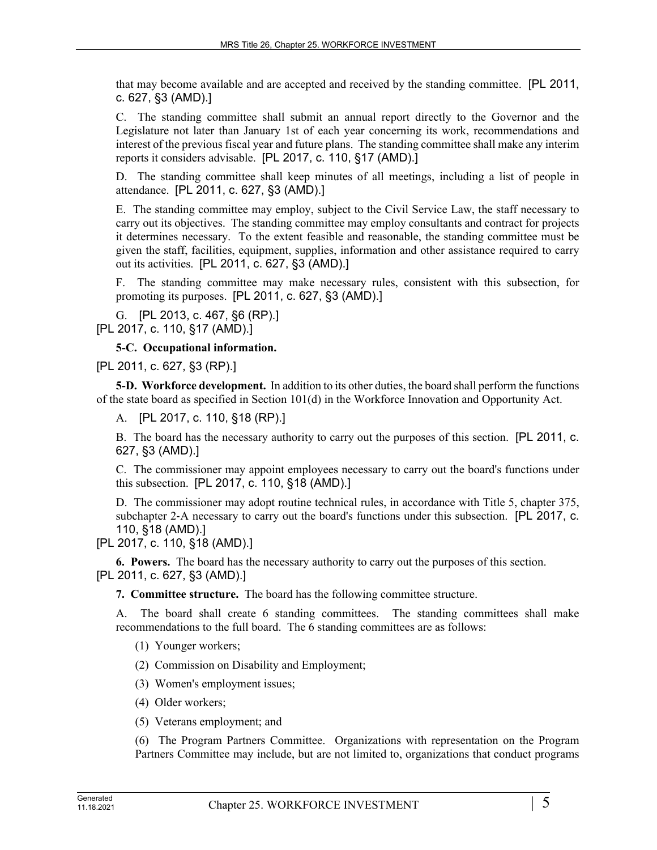that may become available and are accepted and received by the standing committee. [PL 2011, c. 627, §3 (AMD).]

C. The standing committee shall submit an annual report directly to the Governor and the Legislature not later than January 1st of each year concerning its work, recommendations and interest of the previous fiscal year and future plans. The standing committee shall make any interim reports it considers advisable. [PL 2017, c. 110, §17 (AMD).]

D. The standing committee shall keep minutes of all meetings, including a list of people in attendance. [PL 2011, c. 627, §3 (AMD).]

E. The standing committee may employ, subject to the Civil Service Law, the staff necessary to carry out its objectives. The standing committee may employ consultants and contract for projects it determines necessary. To the extent feasible and reasonable, the standing committee must be given the staff, facilities, equipment, supplies, information and other assistance required to carry out its activities. [PL 2011, c. 627, §3 (AMD).]

F. The standing committee may make necessary rules, consistent with this subsection, for promoting its purposes. [PL 2011, c. 627, §3 (AMD).]

G. [PL 2013, c. 467, §6 (RP).] [PL 2017, c. 110, §17 (AMD).]

**5-C. Occupational information.** 

[PL 2011, c. 627, §3 (RP).]

**5-D. Workforce development.** In addition to its other duties, the board shall perform the functions of the state board as specified in Section 101(d) in the Workforce Innovation and Opportunity Act.

A. [PL 2017, c. 110, §18 (RP).]

B. The board has the necessary authority to carry out the purposes of this section. [PL 2011, c. 627, §3 (AMD).]

C. The commissioner may appoint employees necessary to carry out the board's functions under this subsection. [PL 2017, c. 110, §18 (AMD).]

D. The commissioner may adopt routine technical rules, in accordance with Title 5, chapter 375, subchapter 2-A necessary to carry out the board's functions under this subsection. [PL 2017, c. 110, §18 (AMD).]

[PL 2017, c. 110, §18 (AMD).]

**6. Powers.** The board has the necessary authority to carry out the purposes of this section. [PL 2011, c. 627, §3 (AMD).]

**7. Committee structure.** The board has the following committee structure.

A. The board shall create 6 standing committees. The standing committees shall make recommendations to the full board. The 6 standing committees are as follows:

(1) Younger workers;

(2) Commission on Disability and Employment;

(3) Women's employment issues;

(4) Older workers;

(5) Veterans employment; and

(6) The Program Partners Committee. Organizations with representation on the Program Partners Committee may include, but are not limited to, organizations that conduct programs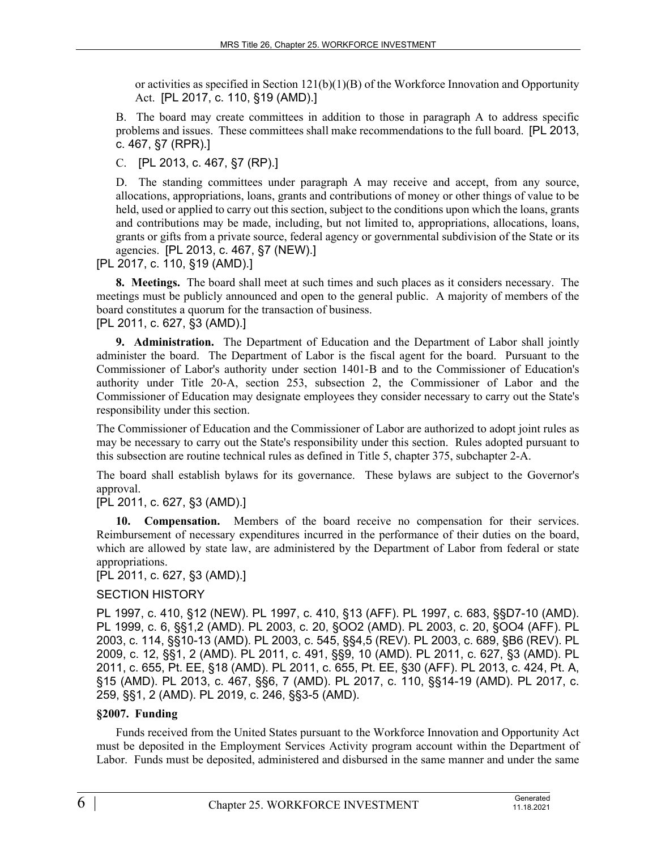or activities as specified in Section  $121(b)(1)(B)$  of the Workforce Innovation and Opportunity Act. [PL 2017, c. 110, §19 (AMD).]

B. The board may create committees in addition to those in paragraph A to address specific problems and issues. These committees shall make recommendations to the full board. [PL 2013, c. 467, §7 (RPR).]

C. [PL 2013, c. 467, §7 (RP).]

D. The standing committees under paragraph A may receive and accept, from any source, allocations, appropriations, loans, grants and contributions of money or other things of value to be held, used or applied to carry out this section, subject to the conditions upon which the loans, grants and contributions may be made, including, but not limited to, appropriations, allocations, loans, grants or gifts from a private source, federal agency or governmental subdivision of the State or its agencies. [PL 2013, c. 467, §7 (NEW).]

[PL 2017, c. 110, §19 (AMD).]

**8. Meetings.** The board shall meet at such times and such places as it considers necessary. The meetings must be publicly announced and open to the general public. A majority of members of the board constitutes a quorum for the transaction of business.

[PL 2011, c. 627, §3 (AMD).]

**9. Administration.** The Department of Education and the Department of Labor shall jointly administer the board. The Department of Labor is the fiscal agent for the board. Pursuant to the Commissioner of Labor's authority under section 1401‑B and to the Commissioner of Education's authority under Title 20‑A, section 253, subsection 2, the Commissioner of Labor and the Commissioner of Education may designate employees they consider necessary to carry out the State's responsibility under this section.

The Commissioner of Education and the Commissioner of Labor are authorized to adopt joint rules as may be necessary to carry out the State's responsibility under this section. Rules adopted pursuant to this subsection are routine technical rules as defined in Title 5, chapter 375, subchapter 2-A.

The board shall establish bylaws for its governance. These bylaws are subject to the Governor's approval.

[PL 2011, c. 627, §3 (AMD).]

**10. Compensation.** Members of the board receive no compensation for their services. Reimbursement of necessary expenditures incurred in the performance of their duties on the board, which are allowed by state law, are administered by the Department of Labor from federal or state appropriations.

# [PL 2011, c. 627, §3 (AMD).]

# SECTION HISTORY

PL 1997, c. 410, §12 (NEW). PL 1997, c. 410, §13 (AFF). PL 1997, c. 683, §§D7-10 (AMD). PL 1999, c. 6, §§1,2 (AMD). PL 2003, c. 20, §OO2 (AMD). PL 2003, c. 20, §OO4 (AFF). PL 2003, c. 114, §§10-13 (AMD). PL 2003, c. 545, §§4,5 (REV). PL 2003, c. 689, §B6 (REV). PL 2009, c. 12, §§1, 2 (AMD). PL 2011, c. 491, §§9, 10 (AMD). PL 2011, c. 627, §3 (AMD). PL 2011, c. 655, Pt. EE, §18 (AMD). PL 2011, c. 655, Pt. EE, §30 (AFF). PL 2013, c. 424, Pt. A, §15 (AMD). PL 2013, c. 467, §§6, 7 (AMD). PL 2017, c. 110, §§14-19 (AMD). PL 2017, c. 259, §§1, 2 (AMD). PL 2019, c. 246, §§3-5 (AMD).

# **§2007. Funding**

Funds received from the United States pursuant to the Workforce Innovation and Opportunity Act must be deposited in the Employment Services Activity program account within the Department of Labor. Funds must be deposited, administered and disbursed in the same manner and under the same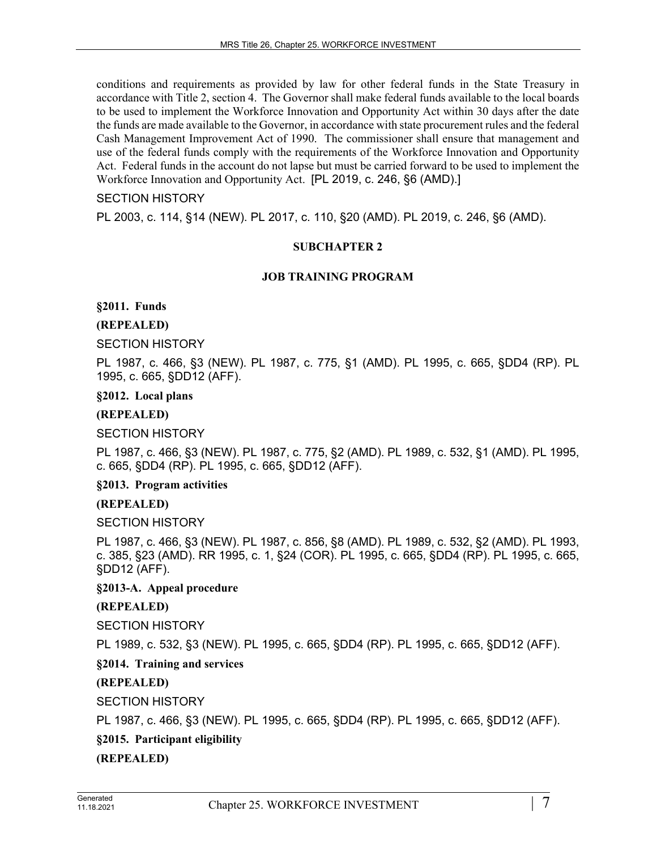conditions and requirements as provided by law for other federal funds in the State Treasury in accordance with Title 2, section 4. The Governor shall make federal funds available to the local boards to be used to implement the Workforce Innovation and Opportunity Act within 30 days after the date the funds are made available to the Governor, in accordance with state procurement rules and the federal Cash Management Improvement Act of 1990. The commissioner shall ensure that management and use of the federal funds comply with the requirements of the Workforce Innovation and Opportunity Act. Federal funds in the account do not lapse but must be carried forward to be used to implement the Workforce Innovation and Opportunity Act. [PL 2019, c. 246, §6 (AMD).]

## SECTION HISTORY

PL 2003, c. 114, §14 (NEW). PL 2017, c. 110, §20 (AMD). PL 2019, c. 246, §6 (AMD).

## **SUBCHAPTER 2**

#### **JOB TRAINING PROGRAM**

#### **§2011. Funds**

## **(REPEALED)**

#### SECTION HISTORY

PL 1987, c. 466, §3 (NEW). PL 1987, c. 775, §1 (AMD). PL 1995, c. 665, §DD4 (RP). PL 1995, c. 665, §DD12 (AFF).

#### **§2012. Local plans**

## **(REPEALED)**

SECTION HISTORY

PL 1987, c. 466, §3 (NEW). PL 1987, c. 775, §2 (AMD). PL 1989, c. 532, §1 (AMD). PL 1995, c. 665, §DD4 (RP). PL 1995, c. 665, §DD12 (AFF).

**§2013. Program activities**

#### **(REPEALED)**

SECTION HISTORY

PL 1987, c. 466, §3 (NEW). PL 1987, c. 856, §8 (AMD). PL 1989, c. 532, §2 (AMD). PL 1993, c. 385, §23 (AMD). RR 1995, c. 1, §24 (COR). PL 1995, c. 665, §DD4 (RP). PL 1995, c. 665, §DD12 (AFF).

#### **§2013-A. Appeal procedure**

# **(REPEALED)**

SECTION HISTORY

PL 1989, c. 532, §3 (NEW). PL 1995, c. 665, §DD4 (RP). PL 1995, c. 665, §DD12 (AFF).

# **§2014. Training and services**

# **(REPEALED)**

SECTION HISTORY

PL 1987, c. 466, §3 (NEW). PL 1995, c. 665, §DD4 (RP). PL 1995, c. 665, §DD12 (AFF).

# **§2015. Participant eligibility**

**(REPEALED)**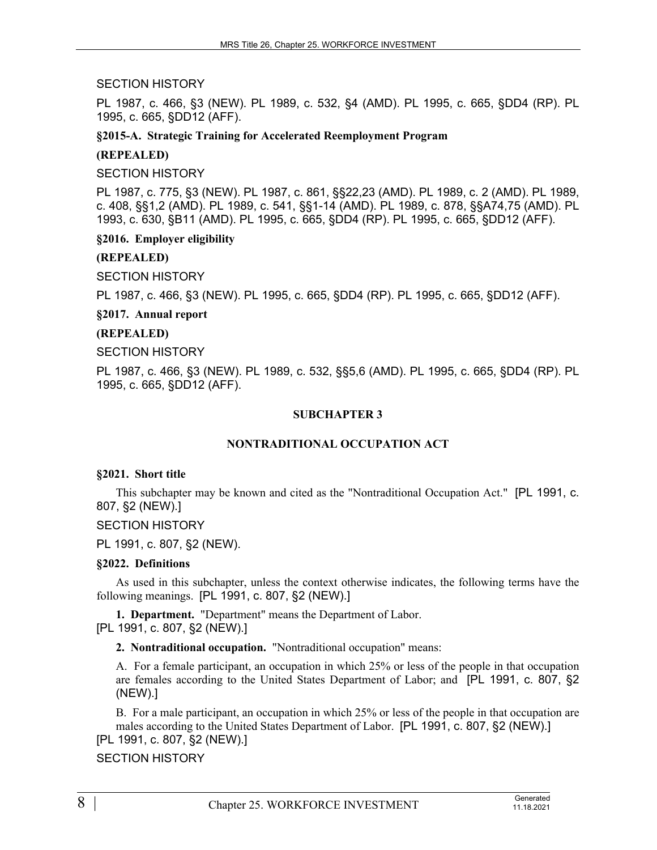SECTION HISTORY

PL 1987, c. 466, §3 (NEW). PL 1989, c. 532, §4 (AMD). PL 1995, c. 665, §DD4 (RP). PL 1995, c. 665, §DD12 (AFF).

**§2015-A. Strategic Training for Accelerated Reemployment Program**

## **(REPEALED)**

SECTION HISTORY

PL 1987, c. 775, §3 (NEW). PL 1987, c. 861, §§22,23 (AMD). PL 1989, c. 2 (AMD). PL 1989, c. 408, §§1,2 (AMD). PL 1989, c. 541, §§1-14 (AMD). PL 1989, c. 878, §§A74,75 (AMD). PL 1993, c. 630, §B11 (AMD). PL 1995, c. 665, §DD4 (RP). PL 1995, c. 665, §DD12 (AFF).

**§2016. Employer eligibility**

# **(REPEALED)**

SECTION HISTORY

PL 1987, c. 466, §3 (NEW). PL 1995, c. 665, §DD4 (RP). PL 1995, c. 665, §DD12 (AFF).

## **§2017. Annual report**

# **(REPEALED)**

SECTION HISTORY

PL 1987, c. 466, §3 (NEW). PL 1989, c. 532, §§5,6 (AMD). PL 1995, c. 665, §DD4 (RP). PL 1995, c. 665, §DD12 (AFF).

## **SUBCHAPTER 3**

# **NONTRADITIONAL OCCUPATION ACT**

#### **§2021. Short title**

This subchapter may be known and cited as the "Nontraditional Occupation Act." [PL 1991, c. 807, §2 (NEW).]

SECTION HISTORY

PL 1991, c. 807, §2 (NEW).

# **§2022. Definitions**

As used in this subchapter, unless the context otherwise indicates, the following terms have the following meanings. [PL 1991, c. 807, §2 (NEW).]

**1. Department.** "Department" means the Department of Labor. [PL 1991, c. 807, §2 (NEW).]

**2. Nontraditional occupation.** "Nontraditional occupation" means:

A. For a female participant, an occupation in which 25% or less of the people in that occupation are females according to the United States Department of Labor; and [PL 1991, c. 807, §2 (NEW).]

B. For a male participant, an occupation in which 25% or less of the people in that occupation are males according to the United States Department of Labor. [PL 1991, c. 807, §2 (NEW).]

[PL 1991, c. 807, §2 (NEW).]

# SECTION HISTORY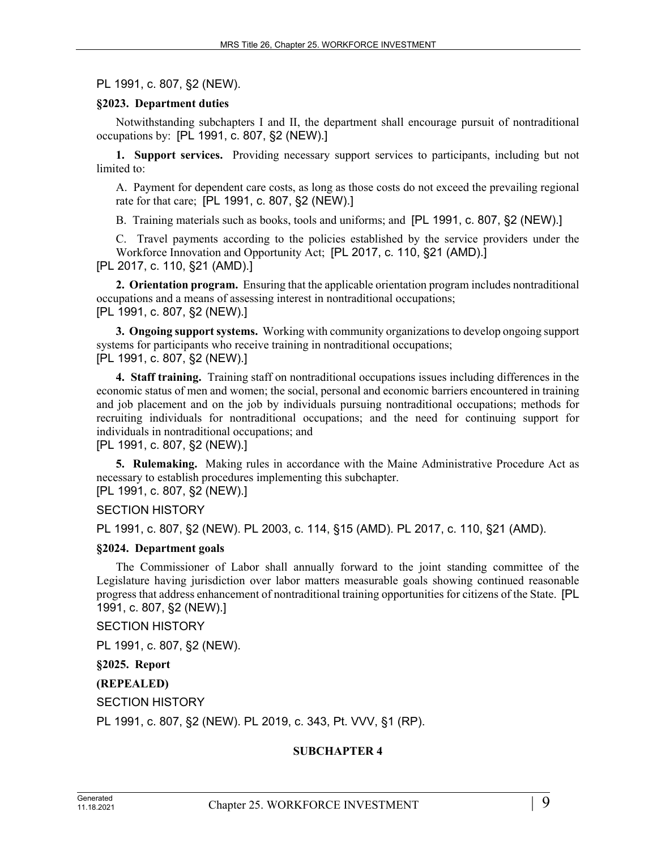PL 1991, c. 807, §2 (NEW).

#### **§2023. Department duties**

Notwithstanding subchapters I and II, the department shall encourage pursuit of nontraditional occupations by: [PL 1991, c. 807, §2 (NEW).]

**1. Support services.** Providing necessary support services to participants, including but not limited to:

A. Payment for dependent care costs, as long as those costs do not exceed the prevailing regional rate for that care; [PL 1991, c. 807, §2 (NEW).]

B. Training materials such as books, tools and uniforms; and [PL 1991, c. 807, §2 (NEW).]

C. Travel payments according to the policies established by the service providers under the Workforce Innovation and Opportunity Act; [PL 2017, c. 110, §21 (AMD).] [PL 2017, c. 110, §21 (AMD).]

**2. Orientation program.** Ensuring that the applicable orientation program includes nontraditional occupations and a means of assessing interest in nontraditional occupations; [PL 1991, c. 807, §2 (NEW).]

**3. Ongoing support systems.** Working with community organizations to develop ongoing support systems for participants who receive training in nontraditional occupations; [PL 1991, c. 807, §2 (NEW).]

**4. Staff training.** Training staff on nontraditional occupations issues including differences in the economic status of men and women; the social, personal and economic barriers encountered in training and job placement and on the job by individuals pursuing nontraditional occupations; methods for recruiting individuals for nontraditional occupations; and the need for continuing support for individuals in nontraditional occupations; and

[PL 1991, c. 807, §2 (NEW).]

**5. Rulemaking.** Making rules in accordance with the Maine Administrative Procedure Act as necessary to establish procedures implementing this subchapter.

[PL 1991, c. 807, §2 (NEW).]

SECTION HISTORY

PL 1991, c. 807, §2 (NEW). PL 2003, c. 114, §15 (AMD). PL 2017, c. 110, §21 (AMD).

#### **§2024. Department goals**

The Commissioner of Labor shall annually forward to the joint standing committee of the Legislature having jurisdiction over labor matters measurable goals showing continued reasonable progress that address enhancement of nontraditional training opportunities for citizens of the State. [PL 1991, c. 807, §2 (NEW).]

SECTION HISTORY

PL 1991, c. 807, §2 (NEW).

**§2025. Report**

**(REPEALED)**

SECTION HISTORY

PL 1991, c. 807, §2 (NEW). PL 2019, c. 343, Pt. VVV, §1 (RP).

#### **SUBCHAPTER 4**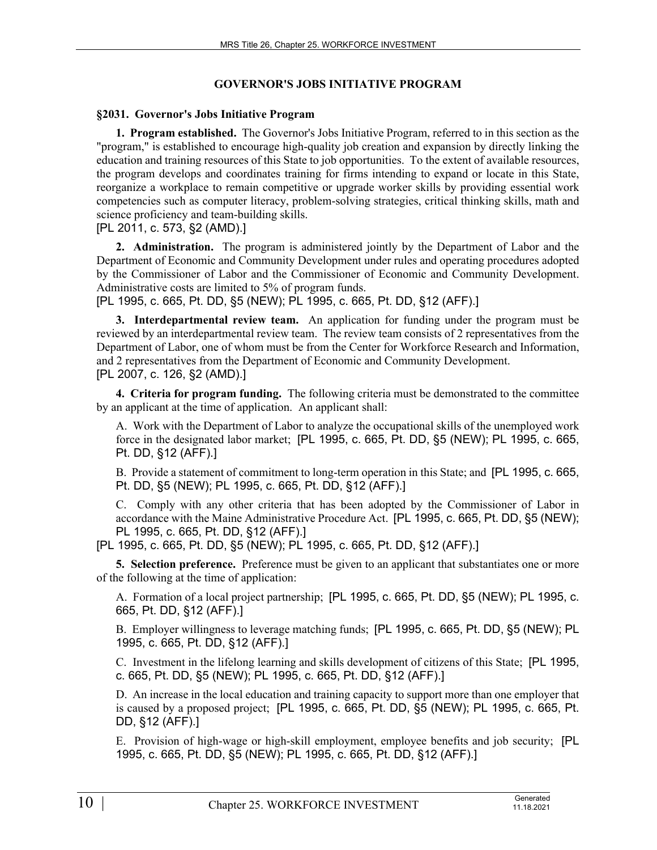# **GOVERNOR'S JOBS INITIATIVE PROGRAM**

## **§2031. Governor's Jobs Initiative Program**

**1. Program established.** The Governor's Jobs Initiative Program, referred to in this section as the "program," is established to encourage high-quality job creation and expansion by directly linking the education and training resources of this State to job opportunities. To the extent of available resources, the program develops and coordinates training for firms intending to expand or locate in this State, reorganize a workplace to remain competitive or upgrade worker skills by providing essential work competencies such as computer literacy, problem-solving strategies, critical thinking skills, math and science proficiency and team-building skills.

[PL 2011, c. 573, §2 (AMD).]

**2. Administration.** The program is administered jointly by the Department of Labor and the Department of Economic and Community Development under rules and operating procedures adopted by the Commissioner of Labor and the Commissioner of Economic and Community Development. Administrative costs are limited to 5% of program funds.

[PL 1995, c. 665, Pt. DD, §5 (NEW); PL 1995, c. 665, Pt. DD, §12 (AFF).]

**3. Interdepartmental review team.** An application for funding under the program must be reviewed by an interdepartmental review team. The review team consists of 2 representatives from the Department of Labor, one of whom must be from the Center for Workforce Research and Information, and 2 representatives from the Department of Economic and Community Development. [PL 2007, c. 126, §2 (AMD).]

**4. Criteria for program funding.** The following criteria must be demonstrated to the committee by an applicant at the time of application. An applicant shall:

A. Work with the Department of Labor to analyze the occupational skills of the unemployed work force in the designated labor market; [PL 1995, c. 665, Pt. DD, §5 (NEW); PL 1995, c. 665, Pt. DD, §12 (AFF).]

B. Provide a statement of commitment to long-term operation in this State; and [PL 1995, c. 665, Pt. DD, §5 (NEW); PL 1995, c. 665, Pt. DD, §12 (AFF).]

C. Comply with any other criteria that has been adopted by the Commissioner of Labor in accordance with the Maine Administrative Procedure Act. [PL 1995, c. 665, Pt. DD, §5 (NEW); PL 1995, c. 665, Pt. DD, §12 (AFF).]

[PL 1995, c. 665, Pt. DD, §5 (NEW); PL 1995, c. 665, Pt. DD, §12 (AFF).]

**5. Selection preference.** Preference must be given to an applicant that substantiates one or more of the following at the time of application:

A. Formation of a local project partnership; [PL 1995, c. 665, Pt. DD, §5 (NEW); PL 1995, c. 665, Pt. DD, §12 (AFF).]

B. Employer willingness to leverage matching funds; [PL 1995, c. 665, Pt. DD, §5 (NEW); PL 1995, c. 665, Pt. DD, §12 (AFF).]

C. Investment in the lifelong learning and skills development of citizens of this State; [PL 1995, c. 665, Pt. DD, §5 (NEW); PL 1995, c. 665, Pt. DD, §12 (AFF).]

D. An increase in the local education and training capacity to support more than one employer that is caused by a proposed project; [PL 1995, c. 665, Pt. DD, §5 (NEW); PL 1995, c. 665, Pt. DD, §12 (AFF).]

E. Provision of high-wage or high-skill employment, employee benefits and job security; [PL 1995, c. 665, Pt. DD, §5 (NEW); PL 1995, c. 665, Pt. DD, §12 (AFF).]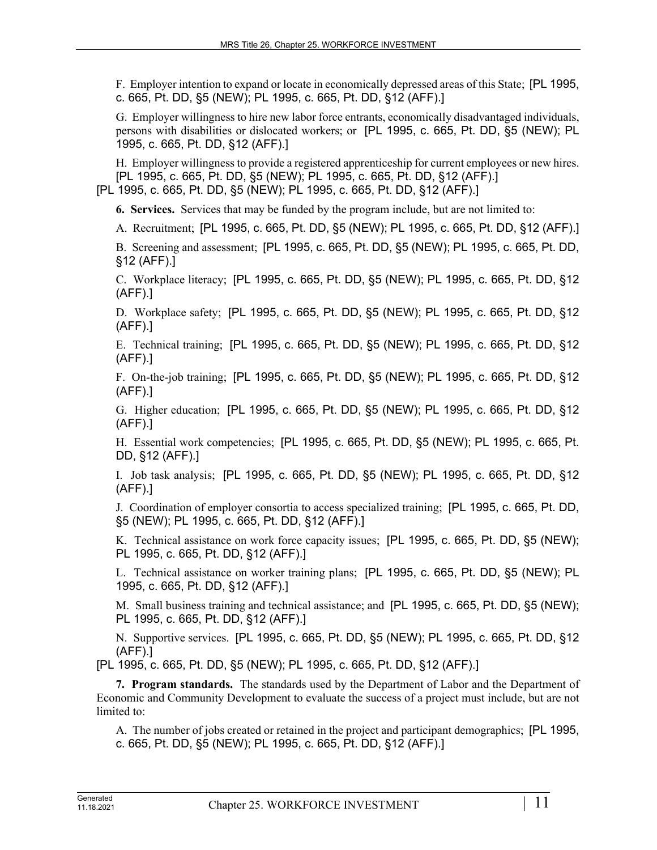F. Employer intention to expand or locate in economically depressed areas of this State; [PL 1995, c. 665, Pt. DD, §5 (NEW); PL 1995, c. 665, Pt. DD, §12 (AFF).]

G. Employer willingness to hire new labor force entrants, economically disadvantaged individuals, persons with disabilities or dislocated workers; or [PL 1995, c. 665, Pt. DD, §5 (NEW); PL 1995, c. 665, Pt. DD, §12 (AFF).]

H. Employer willingness to provide a registered apprenticeship for current employees or new hires. [PL 1995, c. 665, Pt. DD, §5 (NEW); PL 1995, c. 665, Pt. DD, §12 (AFF).] [PL 1995, c. 665, Pt. DD, §5 (NEW); PL 1995, c. 665, Pt. DD, §12 (AFF).]

**6. Services.** Services that may be funded by the program include, but are not limited to:

A. Recruitment; [PL 1995, c. 665, Pt. DD, §5 (NEW); PL 1995, c. 665, Pt. DD, §12 (AFF).]

B. Screening and assessment; [PL 1995, c. 665, Pt. DD, §5 (NEW); PL 1995, c. 665, Pt. DD, §12 (AFF).]

C. Workplace literacy; [PL 1995, c. 665, Pt. DD, §5 (NEW); PL 1995, c. 665, Pt. DD, §12 (AFF).]

D. Workplace safety; [PL 1995, c. 665, Pt. DD, §5 (NEW); PL 1995, c. 665, Pt. DD, §12 (AFF).]

E. Technical training; [PL 1995, c. 665, Pt. DD, §5 (NEW); PL 1995, c. 665, Pt. DD, §12 (AFF).]

F. On-the-job training; [PL 1995, c. 665, Pt. DD, §5 (NEW); PL 1995, c. 665, Pt. DD, §12 (AFF).]

G. Higher education; [PL 1995, c. 665, Pt. DD, §5 (NEW); PL 1995, c. 665, Pt. DD, §12 (AFF).]

H. Essential work competencies; [PL 1995, c. 665, Pt. DD, §5 (NEW); PL 1995, c. 665, Pt. DD, §12 (AFF).]

I. Job task analysis; [PL 1995, c. 665, Pt. DD, §5 (NEW); PL 1995, c. 665, Pt. DD, §12 (AFF).]

J. Coordination of employer consortia to access specialized training; [PL 1995, c. 665, Pt. DD, §5 (NEW); PL 1995, c. 665, Pt. DD, §12 (AFF).]

K. Technical assistance on work force capacity issues; [PL 1995, c. 665, Pt. DD, §5 (NEW); PL 1995, c. 665, Pt. DD, §12 (AFF).]

L. Technical assistance on worker training plans; [PL 1995, c. 665, Pt. DD, §5 (NEW); PL 1995, c. 665, Pt. DD, §12 (AFF).]

M. Small business training and technical assistance; and [PL 1995, c. 665, Pt. DD, §5 (NEW); PL 1995, c. 665, Pt. DD, §12 (AFF).]

N. Supportive services. [PL 1995, c. 665, Pt. DD, §5 (NEW); PL 1995, c. 665, Pt. DD, §12 (AFF).]

[PL 1995, c. 665, Pt. DD, §5 (NEW); PL 1995, c. 665, Pt. DD, §12 (AFF).]

**7. Program standards.** The standards used by the Department of Labor and the Department of Economic and Community Development to evaluate the success of a project must include, but are not limited to:

A. The number of jobs created or retained in the project and participant demographics; [PL 1995, c. 665, Pt. DD, §5 (NEW); PL 1995, c. 665, Pt. DD, §12 (AFF).]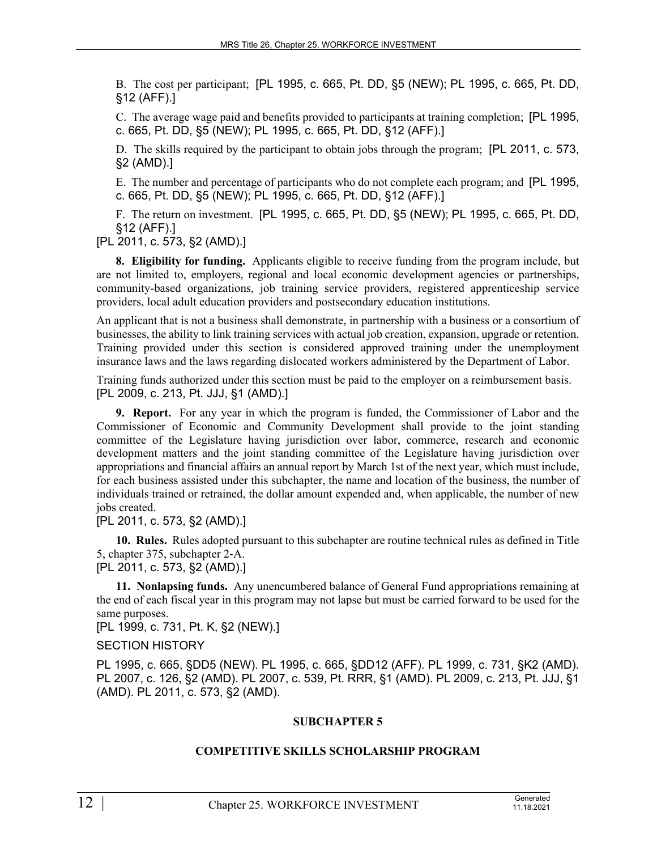B. The cost per participant; [PL 1995, c. 665, Pt. DD, §5 (NEW); PL 1995, c. 665, Pt. DD, §12 (AFF).]

C. The average wage paid and benefits provided to participants at training completion; [PL 1995, c. 665, Pt. DD, §5 (NEW); PL 1995, c. 665, Pt. DD, §12 (AFF).]

D. The skills required by the participant to obtain jobs through the program; [PL 2011, c. 573, §2 (AMD).]

E. The number and percentage of participants who do not complete each program; and [PL 1995, c. 665, Pt. DD, §5 (NEW); PL 1995, c. 665, Pt. DD, §12 (AFF).]

F. The return on investment. [PL 1995, c. 665, Pt. DD, §5 (NEW); PL 1995, c. 665, Pt. DD, §12 (AFF).]

[PL 2011, c. 573, §2 (AMD).]

**8. Eligibility for funding.** Applicants eligible to receive funding from the program include, but are not limited to, employers, regional and local economic development agencies or partnerships, community-based organizations, job training service providers, registered apprenticeship service providers, local adult education providers and postsecondary education institutions.

An applicant that is not a business shall demonstrate, in partnership with a business or a consortium of businesses, the ability to link training services with actual job creation, expansion, upgrade or retention. Training provided under this section is considered approved training under the unemployment insurance laws and the laws regarding dislocated workers administered by the Department of Labor.

Training funds authorized under this section must be paid to the employer on a reimbursement basis. [PL 2009, c. 213, Pt. JJJ, §1 (AMD).]

**9. Report.** For any year in which the program is funded, the Commissioner of Labor and the Commissioner of Economic and Community Development shall provide to the joint standing committee of the Legislature having jurisdiction over labor, commerce, research and economic development matters and the joint standing committee of the Legislature having jurisdiction over appropriations and financial affairs an annual report by March 1st of the next year, which must include, for each business assisted under this subchapter, the name and location of the business, the number of individuals trained or retrained, the dollar amount expended and, when applicable, the number of new jobs created.

[PL 2011, c. 573, §2 (AMD).]

**10. Rules.** Rules adopted pursuant to this subchapter are routine technical rules as defined in Title 5, chapter 375, subchapter 2‑A. [PL 2011, c. 573, §2 (AMD).]

**11. Nonlapsing funds.** Any unencumbered balance of General Fund appropriations remaining at the end of each fiscal year in this program may not lapse but must be carried forward to be used for the same purposes.

[PL 1999, c. 731, Pt. K, §2 (NEW).]

#### SECTION HISTORY

PL 1995, c. 665, §DD5 (NEW). PL 1995, c. 665, §DD12 (AFF). PL 1999, c. 731, §K2 (AMD). PL 2007, c. 126, §2 (AMD). PL 2007, c. 539, Pt. RRR, §1 (AMD). PL 2009, c. 213, Pt. JJJ, §1 (AMD). PL 2011, c. 573, §2 (AMD).

#### **SUBCHAPTER 5**

#### **COMPETITIVE SKILLS SCHOLARSHIP PROGRAM**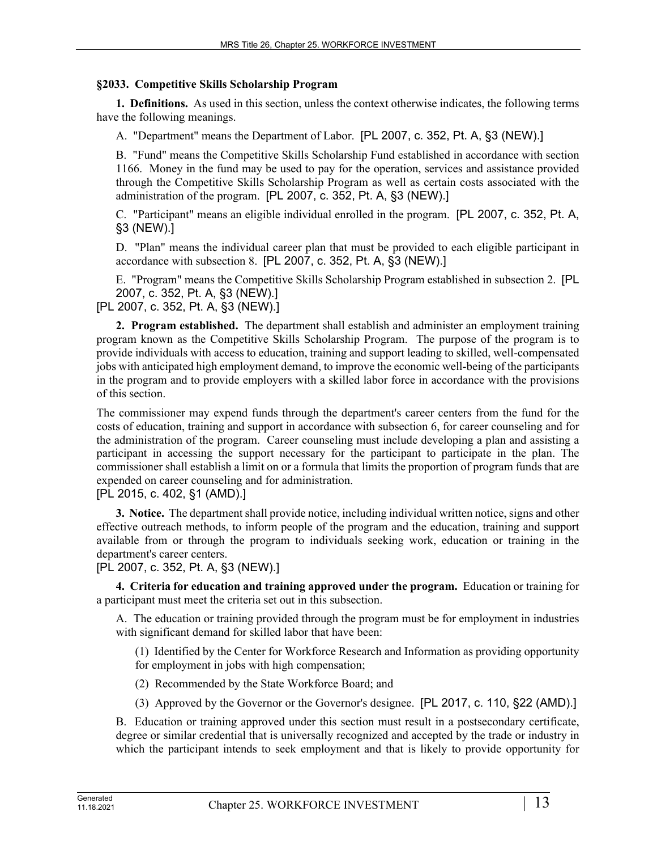## **§2033. Competitive Skills Scholarship Program**

**1. Definitions.** As used in this section, unless the context otherwise indicates, the following terms have the following meanings.

A. "Department" means the Department of Labor. [PL 2007, c. 352, Pt. A, §3 (NEW).]

B. "Fund" means the Competitive Skills Scholarship Fund established in accordance with section 1166. Money in the fund may be used to pay for the operation, services and assistance provided through the Competitive Skills Scholarship Program as well as certain costs associated with the administration of the program. [PL 2007, c. 352, Pt. A, §3 (NEW).]

C. "Participant" means an eligible individual enrolled in the program. [PL 2007, c. 352, Pt. A, §3 (NEW).]

D. "Plan" means the individual career plan that must be provided to each eligible participant in accordance with subsection 8. [PL 2007, c. 352, Pt. A, §3 (NEW).]

E. "Program" means the Competitive Skills Scholarship Program established in subsection 2. [PL 2007, c. 352, Pt. A, §3 (NEW).]

[PL 2007, c. 352, Pt. A, §3 (NEW).]

**2. Program established.** The department shall establish and administer an employment training program known as the Competitive Skills Scholarship Program. The purpose of the program is to provide individuals with access to education, training and support leading to skilled, well-compensated jobs with anticipated high employment demand, to improve the economic well-being of the participants in the program and to provide employers with a skilled labor force in accordance with the provisions of this section.

The commissioner may expend funds through the department's career centers from the fund for the costs of education, training and support in accordance with subsection 6, for career counseling and for the administration of the program. Career counseling must include developing a plan and assisting a participant in accessing the support necessary for the participant to participate in the plan. The commissioner shall establish a limit on or a formula that limits the proportion of program funds that are expended on career counseling and for administration.

# [PL 2015, c. 402, §1 (AMD).]

**3. Notice.** The department shall provide notice, including individual written notice, signs and other effective outreach methods, to inform people of the program and the education, training and support available from or through the program to individuals seeking work, education or training in the department's career centers.

[PL 2007, c. 352, Pt. A, §3 (NEW).]

**4. Criteria for education and training approved under the program.** Education or training for a participant must meet the criteria set out in this subsection.

A. The education or training provided through the program must be for employment in industries with significant demand for skilled labor that have been:

(1) Identified by the Center for Workforce Research and Information as providing opportunity for employment in jobs with high compensation;

(2) Recommended by the State Workforce Board; and

(3) Approved by the Governor or the Governor's designee. [PL 2017, c. 110, §22 (AMD).]

B. Education or training approved under this section must result in a postsecondary certificate, degree or similar credential that is universally recognized and accepted by the trade or industry in which the participant intends to seek employment and that is likely to provide opportunity for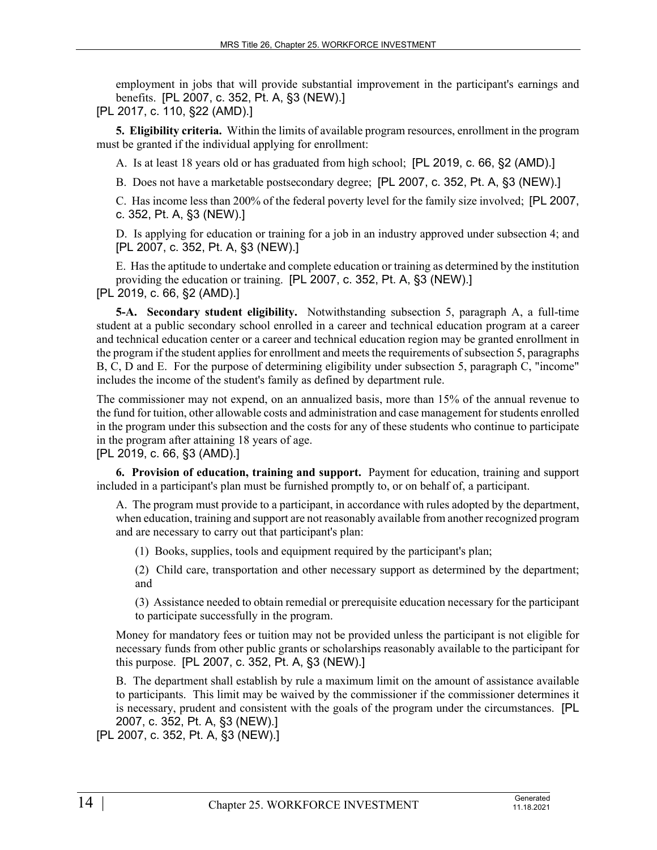employment in jobs that will provide substantial improvement in the participant's earnings and benefits. [PL 2007, c. 352, Pt. A, §3 (NEW).]

[PL 2017, c. 110, §22 (AMD).]

**5. Eligibility criteria.** Within the limits of available program resources, enrollment in the program must be granted if the individual applying for enrollment:

A. Is at least 18 years old or has graduated from high school; [PL 2019, c. 66, §2 (AMD).]

B. Does not have a marketable postsecondary degree; [PL 2007, c. 352, Pt. A, §3 (NEW).]

C. Has income less than 200% of the federal poverty level for the family size involved; [PL 2007, c. 352, Pt. A, §3 (NEW).]

D. Is applying for education or training for a job in an industry approved under subsection 4; and [PL 2007, c. 352, Pt. A, §3 (NEW).]

E. Has the aptitude to undertake and complete education or training as determined by the institution providing the education or training. [PL 2007, c. 352, Pt. A, §3 (NEW).] [PL 2019, c. 66, §2 (AMD).]

**5-A. Secondary student eligibility.** Notwithstanding subsection 5, paragraph A, a full-time student at a public secondary school enrolled in a career and technical education program at a career and technical education center or a career and technical education region may be granted enrollment in the program if the student applies for enrollment and meets the requirements of subsection 5, paragraphs B, C, D and E. For the purpose of determining eligibility under subsection 5, paragraph C, "income" includes the income of the student's family as defined by department rule.

The commissioner may not expend, on an annualized basis, more than 15% of the annual revenue to the fund for tuition, other allowable costs and administration and case management for students enrolled in the program under this subsection and the costs for any of these students who continue to participate in the program after attaining 18 years of age.

[PL 2019, c. 66, §3 (AMD).]

**6. Provision of education, training and support.** Payment for education, training and support included in a participant's plan must be furnished promptly to, or on behalf of, a participant.

A. The program must provide to a participant, in accordance with rules adopted by the department, when education, training and support are not reasonably available from another recognized program and are necessary to carry out that participant's plan:

(1) Books, supplies, tools and equipment required by the participant's plan;

(2) Child care, transportation and other necessary support as determined by the department; and

(3) Assistance needed to obtain remedial or prerequisite education necessary for the participant to participate successfully in the program.

Money for mandatory fees or tuition may not be provided unless the participant is not eligible for necessary funds from other public grants or scholarships reasonably available to the participant for this purpose. [PL 2007, c. 352, Pt. A, §3 (NEW).]

B. The department shall establish by rule a maximum limit on the amount of assistance available to participants. This limit may be waived by the commissioner if the commissioner determines it is necessary, prudent and consistent with the goals of the program under the circumstances. [PL 2007, c. 352, Pt. A, §3 (NEW).]

[PL 2007, c. 352, Pt. A, §3 (NEW).]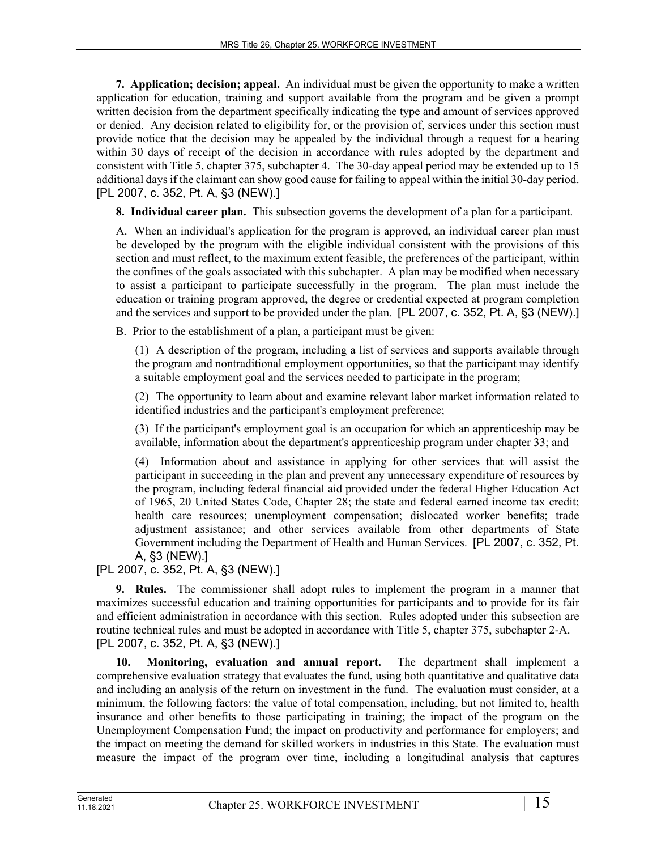**7. Application; decision; appeal.** An individual must be given the opportunity to make a written application for education, training and support available from the program and be given a prompt written decision from the department specifically indicating the type and amount of services approved or denied. Any decision related to eligibility for, or the provision of, services under this section must provide notice that the decision may be appealed by the individual through a request for a hearing within 30 days of receipt of the decision in accordance with rules adopted by the department and consistent with Title 5, chapter 375, subchapter 4. The 30-day appeal period may be extended up to 15 additional days if the claimant can show good cause for failing to appeal within the initial 30-day period. [PL 2007, c. 352, Pt. A, §3 (NEW).]

**8. Individual career plan.** This subsection governs the development of a plan for a participant.

A. When an individual's application for the program is approved, an individual career plan must be developed by the program with the eligible individual consistent with the provisions of this section and must reflect, to the maximum extent feasible, the preferences of the participant, within the confines of the goals associated with this subchapter. A plan may be modified when necessary to assist a participant to participate successfully in the program. The plan must include the education or training program approved, the degree or credential expected at program completion and the services and support to be provided under the plan. [PL 2007, c. 352, Pt. A, §3 (NEW).]

B. Prior to the establishment of a plan, a participant must be given:

(1) A description of the program, including a list of services and supports available through the program and nontraditional employment opportunities, so that the participant may identify a suitable employment goal and the services needed to participate in the program;

(2) The opportunity to learn about and examine relevant labor market information related to identified industries and the participant's employment preference;

(3) If the participant's employment goal is an occupation for which an apprenticeship may be available, information about the department's apprenticeship program under chapter 33; and

(4) Information about and assistance in applying for other services that will assist the participant in succeeding in the plan and prevent any unnecessary expenditure of resources by the program, including federal financial aid provided under the federal Higher Education Act of 1965, 20 United States Code, Chapter 28; the state and federal earned income tax credit; health care resources; unemployment compensation; dislocated worker benefits; trade adjustment assistance; and other services available from other departments of State Government including the Department of Health and Human Services. [PL 2007, c. 352, Pt. A, §3 (NEW).]

[PL 2007, c. 352, Pt. A, §3 (NEW).]

**9. Rules.** The commissioner shall adopt rules to implement the program in a manner that maximizes successful education and training opportunities for participants and to provide for its fair and efficient administration in accordance with this section. Rules adopted under this subsection are routine technical rules and must be adopted in accordance with Title 5, chapter 375, subchapter 2-A. [PL 2007, c. 352, Pt. A, §3 (NEW).]

**10. Monitoring, evaluation and annual report.** The department shall implement a comprehensive evaluation strategy that evaluates the fund, using both quantitative and qualitative data and including an analysis of the return on investment in the fund. The evaluation must consider, at a minimum, the following factors: the value of total compensation, including, but not limited to, health insurance and other benefits to those participating in training; the impact of the program on the Unemployment Compensation Fund; the impact on productivity and performance for employers; and the impact on meeting the demand for skilled workers in industries in this State. The evaluation must measure the impact of the program over time, including a longitudinal analysis that captures